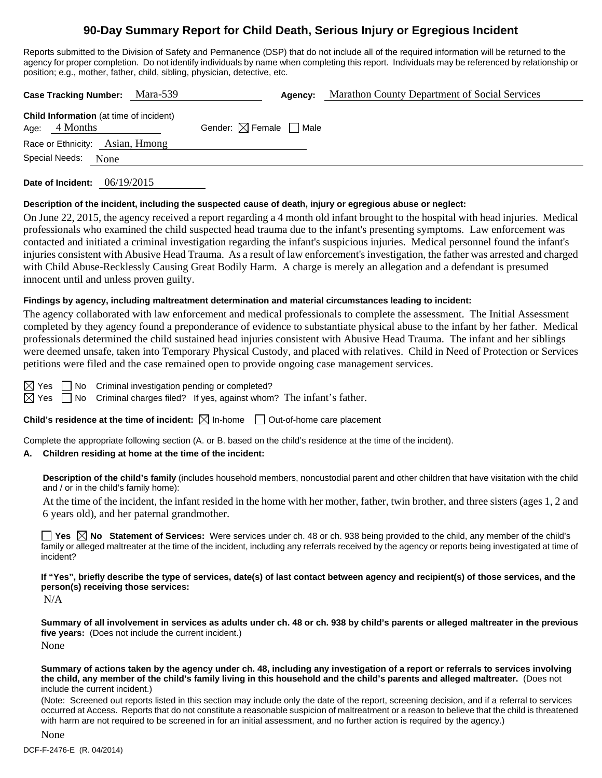# **90-Day Summary Report for Child Death, Serious Injury or Egregious Incident**

Reports submitted to the Division of Safety and Permanence (DSP) that do not include all of the required information will be returned to the agency for proper completion. Do not identify individuals by name when completing this report. Individuals may be referenced by relationship or position; e.g., mother, father, child, sibling, physician, detective, etc.

| Case Tracking Number: Mara-539                                    |                                        | Agency: | <b>Marathon County Department of Social Services</b> |
|-------------------------------------------------------------------|----------------------------------------|---------|------------------------------------------------------|
| <b>Child Information</b> (at time of incident)<br>Age: $4$ Months | Gender: $\boxtimes$ Female $\Box$ Male |         |                                                      |
| Race or Ethnicity: Asian, Hmong                                   |                                        |         |                                                      |
| Special Needs:<br>None                                            |                                        |         |                                                      |
|                                                                   |                                        |         |                                                      |

**Date of Incident:** 06/19/2015

# **Description of the incident, including the suspected cause of death, injury or egregious abuse or neglect:**

On June 22, 2015, the agency received a report regarding a 4 month old infant brought to the hospital with head injuries. Medical professionals who examined the child suspected head trauma due to the infant's presenting symptoms. Law enforcement was contacted and initiated a criminal investigation regarding the infant's suspicious injuries. Medical personnel found the infant's injuries consistent with Abusive Head Trauma. As a result of law enforcement's investigation, the father was arrested and charged with Child Abuse-Recklessly Causing Great Bodily Harm. A charge is merely an allegation and a defendant is presumed innocent until and unless proven guilty.

# **Findings by agency, including maltreatment determination and material circumstances leading to incident:**

The agency collaborated with law enforcement and medical professionals to complete the assessment. The Initial Assessment completed by they agency found a preponderance of evidence to substantiate physical abuse to the infant by her father. Medical professionals determined the child sustained head injuries consistent with Abusive Head Trauma. The infant and her siblings were deemed unsafe, taken into Temporary Physical Custody, and placed with relatives. Child in Need of Protection or Services petitions were filed and the case remained open to provide ongoing case management services.

 $\boxtimes$  Yes  $\Box$  No Criminal investigation pending or completed?

 $\boxtimes$  Yes  $\Box$  No Criminal charges filed? If yes, against whom? The infant's father.

**Child's residence at the time of incident:**  $\boxtimes$  In-home  $\Box$  Out-of-home care placement

Complete the appropriate following section (A. or B. based on the child's residence at the time of the incident).

# **A. Children residing at home at the time of the incident:**

**Description of the child's family** (includes household members, noncustodial parent and other children that have visitation with the child and / or in the child's family home):

 At the time of the incident, the infant resided in the home with her mother, father, twin brother, and three sisters (ages 1, 2 and 6 years old), and her paternal grandmother.

**Yes No** Statement of Services: Were services under ch. 48 or ch. 938 being provided to the child, any member of the child's family or alleged maltreater at the time of the incident, including any referrals received by the agency or reports being investigated at time of incident?

**If "Yes", briefly describe the type of services, date(s) of last contact between agency and recipient(s) of those services, and the person(s) receiving those services:** 

N/A

**Summary of all involvement in services as adults under ch. 48 or ch. 938 by child's parents or alleged maltreater in the previous five years:** (Does not include the current incident.) None

**Summary of actions taken by the agency under ch. 48, including any investigation of a report or referrals to services involving the child, any member of the child's family living in this household and the child's parents and alleged maltreater.** (Does not include the current incident.)

(Note: Screened out reports listed in this section may include only the date of the report, screening decision, and if a referral to services occurred at Access. Reports that do not constitute a reasonable suspicion of maltreatment or a reason to believe that the child is threatened with harm are not required to be screened in for an initial assessment, and no further action is required by the agency.)

None